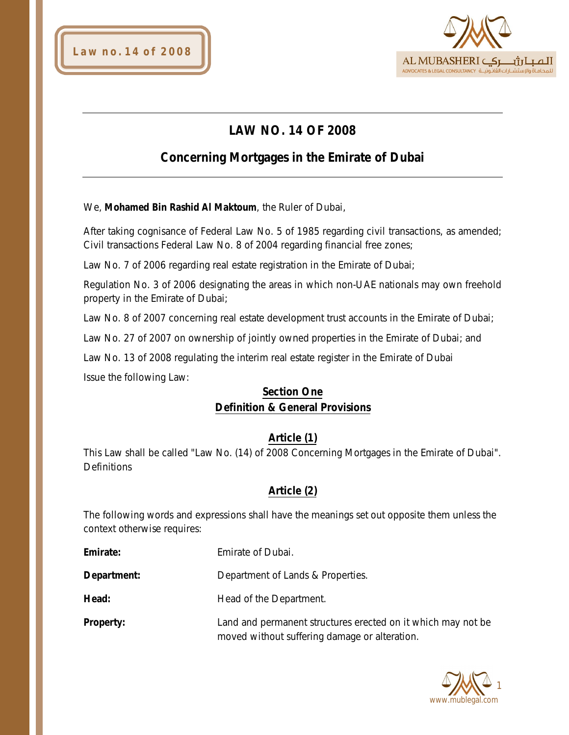



# **LAW NO. 14 OF 2008**

# **Concerning Mortgages in the Emirate of Dubai**

We, **Mohamed Bin Rashid Al Maktoum**, the Ruler of Dubai,

After taking cognisance of Federal Law No. 5 of 1985 regarding civil transactions, as amended; Civil transactions Federal Law No. 8 of 2004 regarding financial free zones;

Law No. 7 of 2006 regarding real estate registration in the Emirate of Dubai;

Regulation No. 3 of 2006 designating the areas in which non-UAE nationals may own freehold property in the Emirate of Dubai;

Law No. 8 of 2007 concerning real estate development trust accounts in the Emirate of Dubai;

Law No. 27 of 2007 on ownership of jointly owned properties in the Emirate of Dubai; and

Law No. 13 of 2008 regulating the interim real estate register in the Emirate of Dubai Issue the following Law:

## **Section One Definition & General Provisions**

## **Article (1)**

This Law shall be called "Law No. (14) of 2008 Concerning Mortgages in the Emirate of Dubai". **Definitions** 

## **Article (2)**

The following words and expressions shall have the meanings set out opposite them unless the context otherwise requires:

| Emirate:         | Emirate of Dubai.                                                                                             |
|------------------|---------------------------------------------------------------------------------------------------------------|
| Department:      | Department of Lands & Properties.                                                                             |
| Head:            | Head of the Department.                                                                                       |
| <b>Property:</b> | Land and permanent structures erected on it which may not be<br>moved without suffering damage or alteration. |

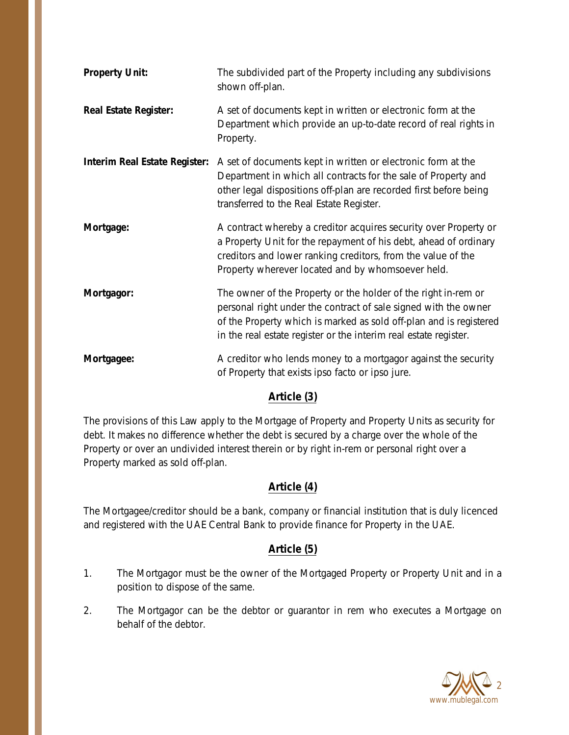| <b>Property Unit:</b>                | The subdivided part of the Property including any subdivisions<br>shown off-plan.                                                                                                                                                                                           |
|--------------------------------------|-----------------------------------------------------------------------------------------------------------------------------------------------------------------------------------------------------------------------------------------------------------------------------|
| <b>Real Estate Register:</b>         | A set of documents kept in written or electronic form at the<br>Department which provide an up-to-date record of real rights in<br>Property.                                                                                                                                |
| <b>Interim Real Estate Register:</b> | A set of documents kept in written or electronic form at the<br>Department in which all contracts for the sale of Property and<br>other legal dispositions off-plan are recorded first before being<br>transferred to the Real Estate Register.                             |
| Mortgage:                            | A contract whereby a creditor acquires security over Property or<br>a Property Unit for the repayment of his debt, ahead of ordinary<br>creditors and lower ranking creditors, from the value of the<br>Property wherever located and by whomsoever held.                   |
| Mortgagor:                           | The owner of the Property or the holder of the right in-rem or<br>personal right under the contract of sale signed with the owner<br>of the Property which is marked as sold off-plan and is registered<br>in the real estate register or the interim real estate register. |
| Mortgagee:                           | A creditor who lends money to a mortgagor against the security<br>of Property that exists ipso facto or ipso jure.                                                                                                                                                          |

## **Article (3)**

The provisions of this Law apply to the Mortgage of Property and Property Units as security for debt. It makes no difference whether the debt is secured by a charge over the whole of the Property or over an undivided interest therein or by right in-rem or personal right over a Property marked as sold off-plan.

## **Article (4)**

The Mortgagee/creditor should be a bank, company or financial institution that is duly licenced and registered with the UAE Central Bank to provide finance for Property in the UAE.

## **Article (5)**

- 1. The Mortgagor must be the owner of the Mortgaged Property or Property Unit and in a position to dispose of the same.
- 2. The Mortgagor can be the debtor or guarantor in rem who executes a Mortgage on behalf of the debtor.

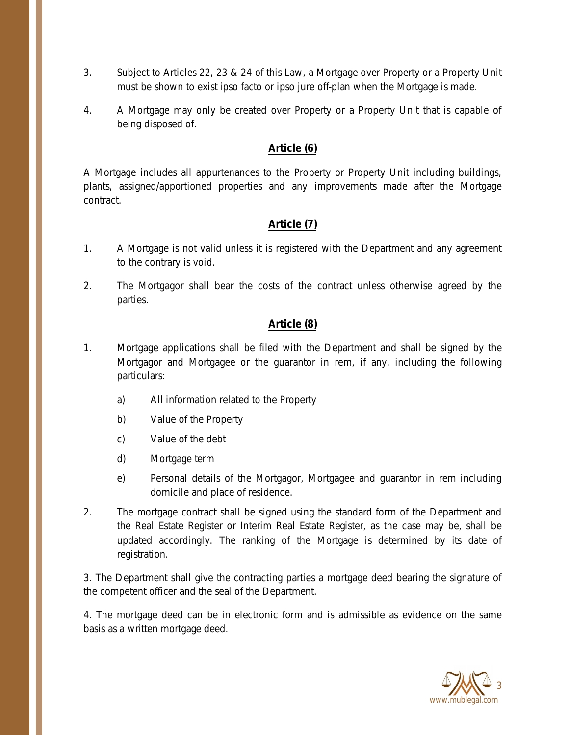- 3. Subject to Articles 22, 23 & 24 of this Law, a Mortgage over Property or a Property Unit must be shown to exist ipso facto or ipso jure off-plan when the Mortgage is made.
- 4. A Mortgage may only be created over Property or a Property Unit that is capable of being disposed of.

## **Article (6)**

A Mortgage includes all appurtenances to the Property or Property Unit including buildings, plants, assigned/apportioned properties and any improvements made after the Mortgage contract.

## **Article (7)**

- 1. A Mortgage is not valid unless it is registered with the Department and any agreement to the contrary is void.
- 2. The Mortgagor shall bear the costs of the contract unless otherwise agreed by the parties.

## **Article (8)**

- 1. Mortgage applications shall be filed with the Department and shall be signed by the Mortgagor and Mortgagee or the guarantor in rem, if any, including the following particulars:
	- a) All information related to the Property
	- b) Value of the Property
	- c) Value of the debt
	- d) Mortgage term
	- e) Personal details of the Mortgagor, Mortgagee and guarantor in rem including domicile and place of residence.
- 2. The mortgage contract shall be signed using the standard form of the Department and the Real Estate Register or Interim Real Estate Register, as the case may be, shall be updated accordingly. The ranking of the Mortgage is determined by its date of registration.

3. The Department shall give the contracting parties a mortgage deed bearing the signature of the competent officer and the seal of the Department.

4. The mortgage deed can be in electronic form and is admissible as evidence on the same basis as a written mortgage deed.

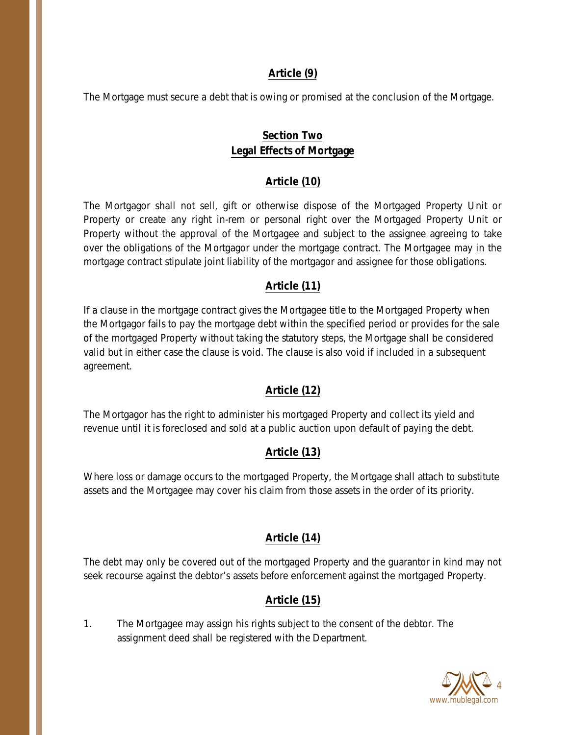### **Article (9)**

The Mortgage must secure a debt that is owing or promised at the conclusion of the Mortgage.

## **Section Two Legal Effects of Mortgage**

#### **Article (10)**

The Mortgagor shall not sell, gift or otherwise dispose of the Mortgaged Property Unit or Property or create any right in-rem or personal right over the Mortgaged Property Unit or Property without the approval of the Mortgagee and subject to the assignee agreeing to take over the obligations of the Mortgagor under the mortgage contract. The Mortgagee may in the mortgage contract stipulate joint liability of the mortgagor and assignee for those obligations.

### **Article (11)**

If a clause in the mortgage contract gives the Mortgagee title to the Mortgaged Property when the Mortgagor fails to pay the mortgage debt within the specified period or provides for the sale of the mortgaged Property without taking the statutory steps, the Mortgage shall be considered valid but in either case the clause is void. The clause is also void if included in a subsequent agreement.

## **Article (12)**

The Mortgagor has the right to administer his mortgaged Property and collect its yield and revenue until it is foreclosed and sold at a public auction upon default of paying the debt.

## **Article (13)**

Where loss or damage occurs to the mortgaged Property, the Mortgage shall attach to substitute assets and the Mortgagee may cover his claim from those assets in the order of its priority.

## **Article (14)**

The debt may only be covered out of the mortgaged Property and the guarantor in kind may not seek recourse against the debtor's assets before enforcement against the mortgaged Property.

## **Article (15)**

1. The Mortgagee may assign his rights subject to the consent of the debtor. The assignment deed shall be registered with the Department.

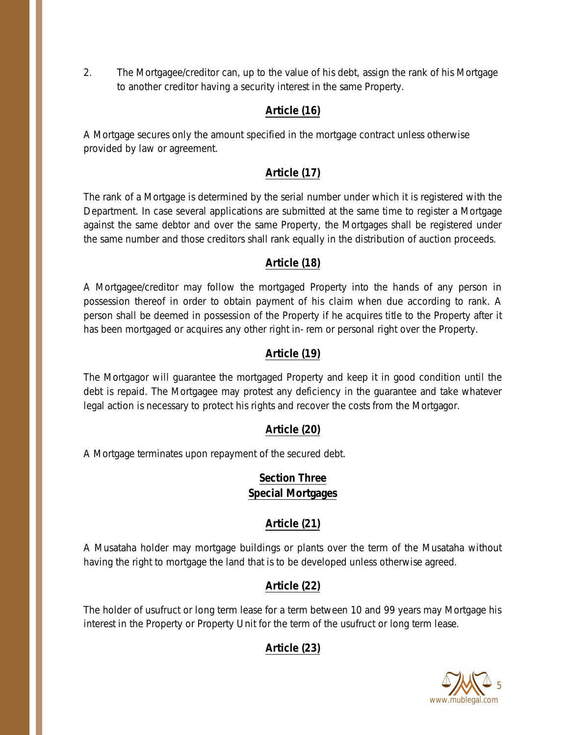2. The Mortgagee/creditor can, up to the value of his debt, assign the rank of his Mortgage to another creditor having a security interest in the same Property.

## **Article (16)**

A Mortgage secures only the amount specified in the mortgage contract unless otherwise provided by law or agreement.

## **Article (17)**

The rank of a Mortgage is determined by the serial number under which it is registered with the Department. In case several applications are submitted at the same time to register a Mortgage against the same debtor and over the same Property, the Mortgages shall be registered under the same number and those creditors shall rank equally in the distribution of auction proceeds.

## **Article (18)**

A Mortgagee/creditor may follow the mortgaged Property into the hands of any person in possession thereof in order to obtain payment of his claim when due according to rank. A person shall be deemed in possession of the Property if he acquires title to the Property after it has been mortgaged or acquires any other right in- rem or personal right over the Property.

## **Article (19)**

The Mortgagor will guarantee the mortgaged Property and keep it in good condition until the debt is repaid. The Mortgagee may protest any deficiency in the guarantee and take whatever legal action is necessary to protect his rights and recover the costs from the Mortgagor.

## **Article (20)**

A Mortgage terminates upon repayment of the secured debt.

## **Section Three Special Mortgages**

## **Article (21)**

A Musataha holder may mortgage buildings or plants over the term of the Musataha without having the right to mortgage the land that is to be developed unless otherwise agreed.

## **Article (22)**

The holder of usufruct or long term lease for a term between 10 and 99 years may Mortgage his interest in the Property or Property Unit for the term of the usufruct or long term lease.

## **Article (23)**

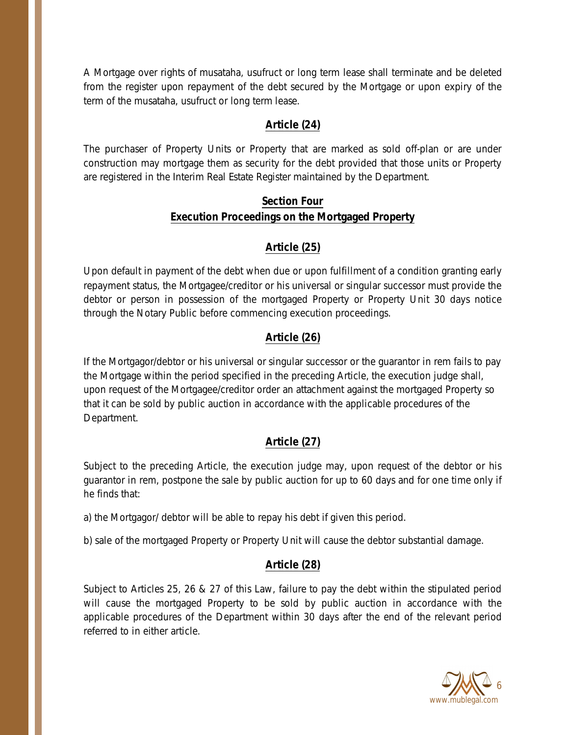A Mortgage over rights of musataha, usufruct or long term lease shall terminate and be deleted from the register upon repayment of the debt secured by the Mortgage or upon expiry of the term of the musataha, usufruct or long term lease.

### **Article (24)**

The purchaser of Property Units or Property that are marked as sold off-plan or are under construction may mortgage them as security for the debt provided that those units or Property are registered in the Interim Real Estate Register maintained by the Department.

## **Section Four Execution Proceedings on the Mortgaged Property**

## **Article (25)**

Upon default in payment of the debt when due or upon fulfillment of a condition granting early repayment status, the Mortgagee/creditor or his universal or singular successor must provide the debtor or person in possession of the mortgaged Property or Property Unit 30 days notice through the Notary Public before commencing execution proceedings.

### **Article (26)**

If the Mortgagor/debtor or his universal or singular successor or the guarantor in rem fails to pay the Mortgage within the period specified in the preceding Article, the execution judge shall, upon request of the Mortgagee/creditor order an attachment against the mortgaged Property so that it can be sold by public auction in accordance with the applicable procedures of the Department.

#### **Article (27)**

Subject to the preceding Article, the execution judge may, upon request of the debtor or his guarantor in rem, postpone the sale by public auction for up to 60 days and for one time only if he finds that:

a) the Mortgagor/ debtor will be able to repay his debt if given this period.

b) sale of the mortgaged Property or Property Unit will cause the debtor substantial damage.

#### **Article (28)**

Subject to Articles 25, 26 & 27 of this Law, failure to pay the debt within the stipulated period will cause the mortgaged Property to be sold by public auction in accordance with the applicable procedures of the Department within 30 days after the end of the relevant period referred to in either article.